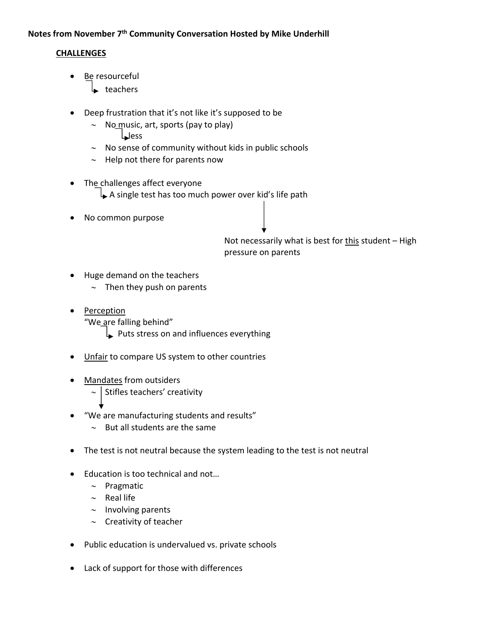## **Notes from November 7th Community Conversation Hosted by Mike Underhill**

## **CHALLENGES**

- Be resourceful
	- $\overline{\phantom{a}}$  teachers
- Deep frustration that it's not like it's supposed to be
	- $\sim$  No music, art, sports (pay to play) **L**ess
	- $\sim$  No sense of community without kids in public schools
	- $\sim$  Help not there for parents now
- The challenges affect everyone  $\downarrow$  A single test has too much power over kid's life path
- No common purpose

Not necessarily what is best for this student  $-$  High pressure on parents

- Huge demand on the teachers
	- $\sim$  Then they push on parents
- Perception

"We are falling behind"

- $\Box$  Puts stress on and influences everything
- Unfair to compare US system to other countries
- Mandates from outsiders
	- $\sim$  | Stifles teachers' creativity
- "We are manufacturing students and results"
	- $\sim$  But all students are the same
- The test is not neutral because the system leading to the test is not neutral
- Education is too technical and not...
	- $\sim$  Pragmatic
	- $\sim$  Real life
	- $\sim$  Involving parents
	- $\sim$  Creativity of teacher
- Public education is undervalued vs. private schools
- Lack of support for those with differences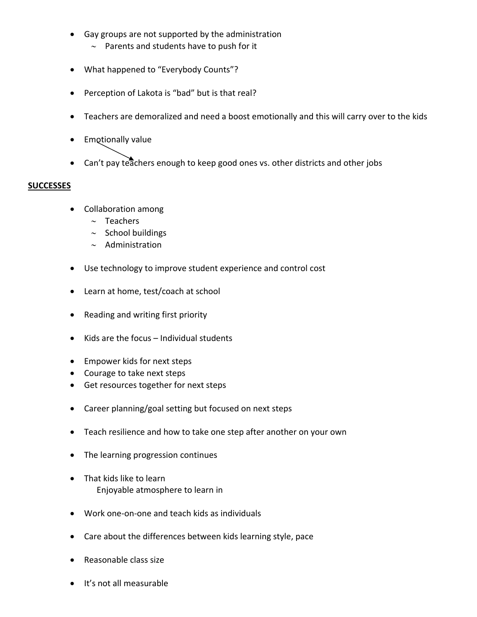- Gay groups are not supported by the administration
	- $\sim$  Parents and students have to push for it
- What happened to "Everybody Counts"?
- Perception of Lakota is "bad" but is that real?
- Teachers are demoralized and need a boost emotionally and this will carry over to the kids
- **•** Emotionally value
- $\bullet$  Can't pay teachers enough to keep good ones vs. other districts and other jobs

## **SUCCESSES**

- Collaboration among
	- $\sim$  Teachers
	- $\sim$  School buildings
	- $\sim$  Administration
- Use technology to improve student experience and control cost
- Learn at home, test/coach at school
- Reading and writing first priority
- $\bullet$  Kids are the focus Individual students
- Empower kids for next steps
- Courage to take next steps
- Get resources together for next steps
- Career planning/goal setting but focused on next steps
- Teach resilience and how to take one step after another on your own
- The learning progression continues
- That kids like to learn Enjoyable atmosphere to learn in
- Work one-on-one and teach kids as individuals
- Care about the differences between kids learning style, pace
- Reasonable class size
- It's not all measurable